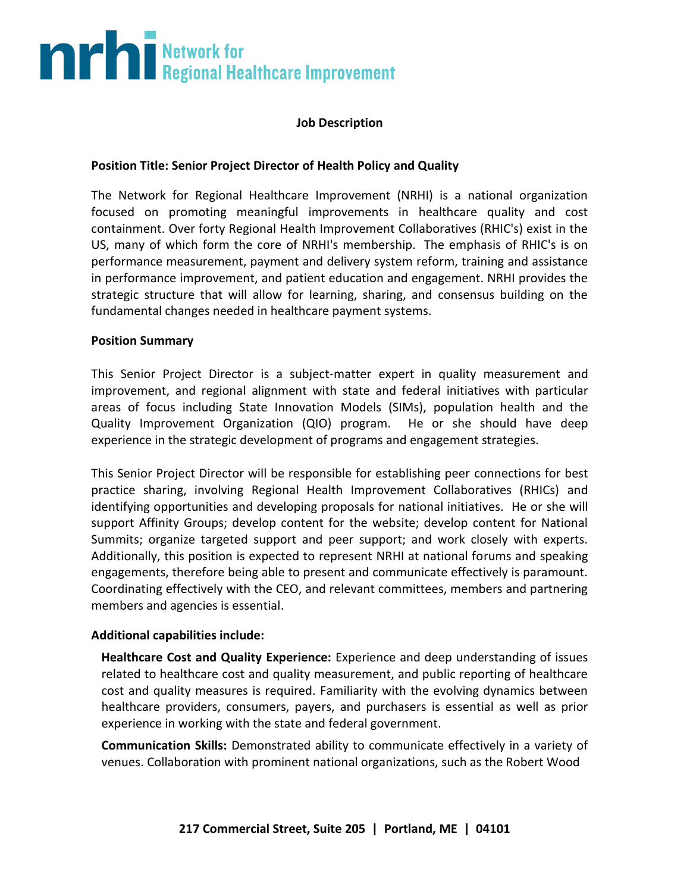# **The Second Burns of Second Healthcare Improvement**

### **Job Description**

### **Position Title: Senior Project Director of Health Policy and Quality**

The Network for Regional Healthcare Improvement (NRHI) is a national organization focused on promoting meaningful improvements in healthcare quality and cost containment. Over forty Regional Health Improvement Collaboratives (RHIC's) exist in the US, many of which form the core of NRHI's membership. The emphasis of RHIC's is on performance measurement, payment and delivery system reform, training and assistance in performance improvement, and patient education and engagement. NRHI provides the strategic structure that will allow for learning, sharing, and consensus building on the fundamental changes needed in healthcare payment systems.

### **Position Summary**

This Senior Project Director is a subject-matter expert in quality measurement and improvement, and regional alignment with state and federal initiatives with particular areas of focus including State Innovation Models (SIMs), population health and the Quality Improvement Organization (QIO) program. He or she should have deep experience in the strategic development of programs and engagement strategies.

This Senior Project Director will be responsible for establishing peer connections for best practice sharing, involving Regional Health Improvement Collaboratives (RHICs) and identifying opportunities and developing proposals for national initiatives. He or she will support Affinity Groups; develop content for the website; develop content for National Summits; organize targeted support and peer support; and work closely with experts. Additionally, this position is expected to represent NRHI at national forums and speaking engagements, therefore being able to present and communicate effectively is paramount. Coordinating effectively with the CEO, and relevant committees, members and partnering members and agencies is essential.

### **Additional capabilities include:**

**Healthcare Cost and Quality Experience:** Experience and deep understanding of issues related to healthcare cost and quality measurement, and public reporting of healthcare cost and quality measures is required. Familiarity with the evolving dynamics between healthcare providers, consumers, payers, and purchasers is essential as well as prior experience in working with the state and federal government.

**Communication Skills:** Demonstrated ability to communicate effectively in a variety of venues. Collaboration with prominent national organizations, such as the Robert Wood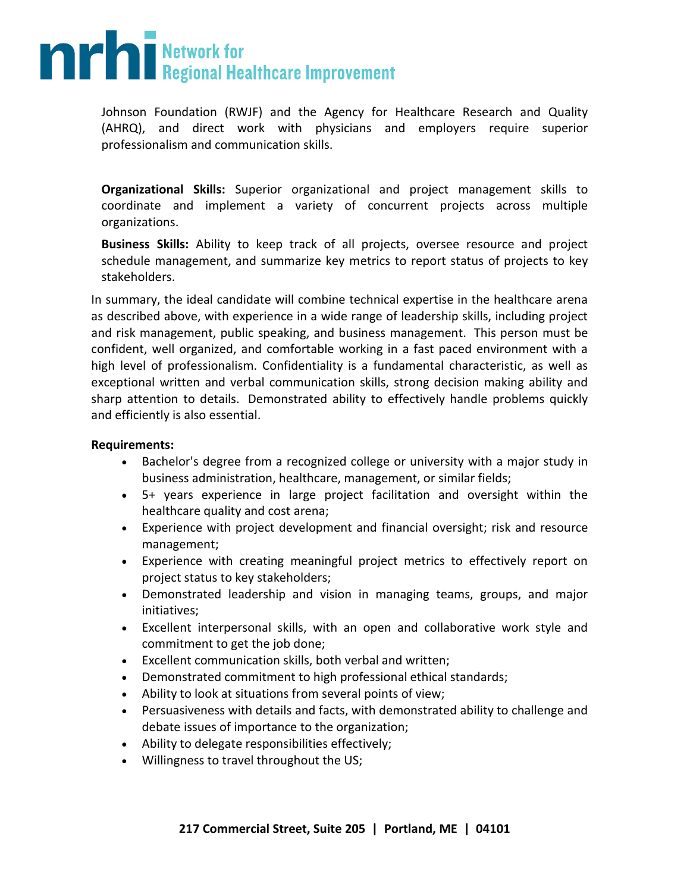## **The Second Burns of Second Healthcare Improvement**

Johnson Foundation (RWJF) and the Agency for Healthcare Research and Quality (AHRQ), and direct work with physicians and employers require superior professionalism and communication skills.

**Organizational Skills:** Superior organizational and project management skills to coordinate and implement a variety of concurrent projects across multiple organizations.

**Business Skills:** Ability to keep track of all projects, oversee resource and project schedule management, and summarize key metrics to report status of projects to key stakeholders.

In summary, the ideal candidate will combine technical expertise in the healthcare arena as described above, with experience in a wide range of leadership skills, including project and risk management, public speaking, and business management. This person must be confident, well organized, and comfortable working in a fast paced environment with a high level of professionalism. Confidentiality is a fundamental characteristic, as well as exceptional written and verbal communication skills, strong decision making ability and sharp attention to details. Demonstrated ability to effectively handle problems quickly and efficiently is also essential.

### **Requirements:**

- Bachelor's degree from a recognized college or university with a major study in business administration, healthcare, management, or similar fields;
- 5+ years experience in large project facilitation and oversight within the healthcare quality and cost arena;
- Experience with project development and financial oversight; risk and resource management;
- Experience with creating meaningful project metrics to effectively report on project status to key stakeholders;
- Demonstrated leadership and vision in managing teams, groups, and major initiatives;
- Excellent interpersonal skills, with an open and collaborative work style and commitment to get the job done;
- Excellent communication skills, both verbal and written;
- Demonstrated commitment to high professional ethical standards;
- Ability to look at situations from several points of view;
- Persuasiveness with details and facts, with demonstrated ability to challenge and debate issues of importance to the organization;
- Ability to delegate responsibilities effectively;
- Willingness to travel throughout the US;